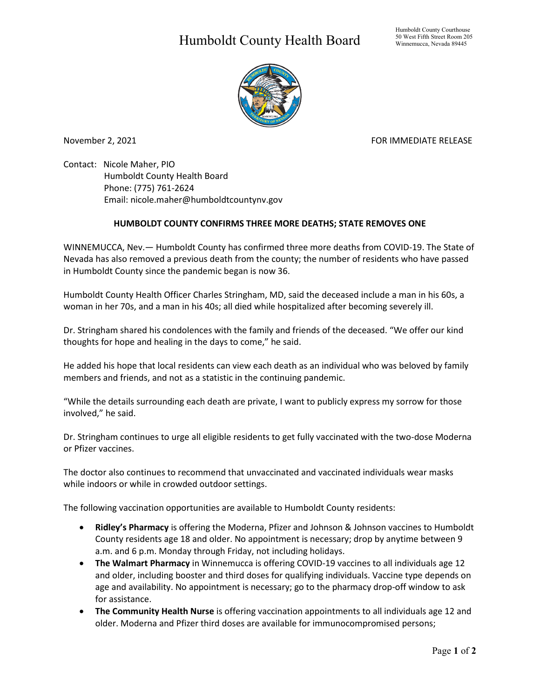## Humboldt County Health Board



November 2, 2021 FOR IMMEDIATE RELEASE

Contact: Nicole Maher, PIO Humboldt County Health Board Phone: (775) 761-2624 Email: nicole.maher@humboldtcountynv.gov

## **HUMBOLDT COUNTY CONFIRMS THREE MORE DEATHS; STATE REMOVES ONE**

WINNEMUCCA, Nev.— Humboldt County has confirmed three more deaths from COVID-19. The State of Nevada has also removed a previous death from the county; the number of residents who have passed in Humboldt County since the pandemic began is now 36.

Humboldt County Health Officer Charles Stringham, MD, said the deceased include a man in his 60s, a woman in her 70s, and a man in his 40s; all died while hospitalized after becoming severely ill.

Dr. Stringham shared his condolences with the family and friends of the deceased. "We offer our kind thoughts for hope and healing in the days to come," he said.

He added his hope that local residents can view each death as an individual who was beloved by family members and friends, and not as a statistic in the continuing pandemic.

"While the details surrounding each death are private, I want to publicly express my sorrow for those involved," he said.

Dr. Stringham continues to urge all eligible residents to get fully vaccinated with the two-dose Moderna or Pfizer vaccines.

The doctor also continues to recommend that unvaccinated and vaccinated individuals wear masks while indoors or while in crowded outdoor settings.

The following vaccination opportunities are available to Humboldt County residents:

- **Ridley's Pharmacy** is offering the Moderna, Pfizer and Johnson & Johnson vaccines to Humboldt County residents age 18 and older. No appointment is necessary; drop by anytime between 9 a.m. and 6 p.m. Monday through Friday, not including holidays.
- **The Walmart Pharmacy** in Winnemucca is offering COVID-19 vaccines to all individuals age 12 and older, including booster and third doses for qualifying individuals. Vaccine type depends on age and availability. No appointment is necessary; go to the pharmacy drop-off window to ask for assistance.
- **The Community Health Nurse** is offering vaccination appointments to all individuals age 12 and older. Moderna and Pfizer third doses are available for immunocompromised persons;